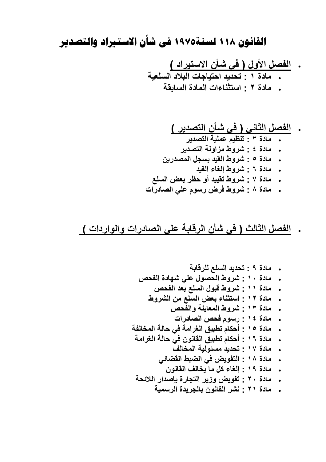# القانون ١١٨ لسنة١٩٧٥ في شأن الاستيراد والتصدير

. الفصل الأول ( فى شأن الاستيراد )<br>. مادة ١ : تحديد احتياجات البلاد السلعية

. مادة ٢ : استثناءات المادة السابقة

## . الفصل الثاني ( في شأن التصدير )

- .<br>• مادة ٣ : تنظيم عملية التصدير "
- . مادة ٤ : شروط مزاولة التصدير
- مادة ٥ : شروط القيد بسجل المصدرين  $\ddot{\phantom{1}}$ 
	- . مادة ٢ : شروط الغاء القيد
- مادة ٧ : شروط تقييد أو حظر بعض السلع
- . مادة ٨ : شروط فرض رسوم على الصادرات

### . الفصل الثالث ( في شأن الرفابة على الصادرات والواردات )

- . مادة ٢٠ : تفويض وزير التجارة بإصدار اللائحة
	- . مادة ٢١ : نشر القانون بالجريدة الرسمية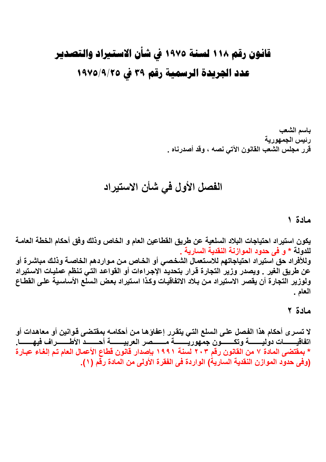# قانون رقم ١١٨ لسنة ١٩٧٥ في شأن الاستيراد والتصدير عدد الجريدة الرسمية رقم ٣٩ في ١٩٧٥/٩/٢٥

باسم الشعب رئيس الجمهورية قرر مجلس الشعب القانون الآتى نصه ، وقد أصدرناه .

## الفصل الأول في شأن الاستيراد

#### مادة ١

يكون استيراد احتياجات البلاد السلعية عن طريق القطاعين العام و الخاص وذلك وفق أحكام الخطة العامـة للدولة \* و في حدود الموازنة النقدية السارية . وللأفراد حق استيراد احتياجاتهم للاستعمال الشخصى أو الخاص من مواردهم الخاصـة وذلك مباشـرة أو عن طريق الغير . ويصدر وزير التجارة قرار بتحديد الإجراءات أو القواعد التي تنظم عمليات الاستيراد ولوزير التجارة أن يقصر الاستيراد من بلاد الاتفاقيات وكذا استيراد بعض السلع الأساسية على القطاع العام .

### مادة ٢

لا تسـر ي أحكام هذا الفصل علـي الـسلـع التـي يتقرر إعفاؤهـا مـن أحكامـه بمقتضـي قـوانين أو معاهدات أو اتفاقيـــــــات دوليـــــــــــة وتكـــــــون جمهوريــــــــــة مـــــــصر العربيــــــــة أحـــــــد الأطــــــــراف فيهـــــــا. \* بمقتضى المادة ٧ من القانون رقم ٢٠٣ لسنة ١٩٩١ بإصدار قانون قطاع الأعمال العام تم إلغاء عبارة (وفى حدود الموازن النقدية السارية) الواردة فى الفقرة الأولى من المادة رقّم ( ١ ).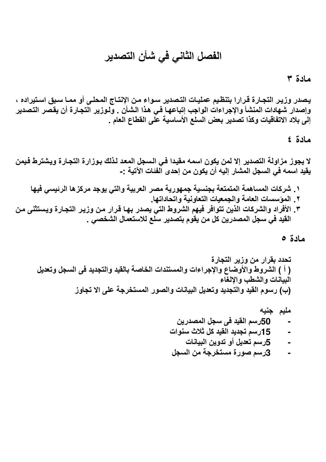# الفصل الثاني في شأن التصدير

مادة ٣

يصدر وزير التجارة قرارا بتنظيم عمليات التصدير سواء من الإنتاج المحلى أو ممـا سبق استيراده ، وإصدار شهادات المنشأ والإجراءات الواجب إتباعها في هذا الشأن . ولـوزير التجـارة أن يقصر التصدير إلى بلاد الاتفاقيات وكذا تصدير بعض السلع الأساسية على القطاع العام .

مادة ٤

لا يجوز مزاولة التصدير إلا لمن يكون اسمه مقيدا في السجل المعد لذلك بوزارة التجارة ويشترط فيمن يقيد اسمه في السجل المشار إليه أن يكون من إحدى الفنات الآتية :-

١ ـ شركات المساهمة المتمتعة بجنسية جمهورية مصر العربية والتي يوجد مركزها الرئيسي فيها ٢ . المؤسسات العامة والجمعيات التعاونية واتحاداتها. ٣. الأفراد والشركات الذين تتوافر فيهم الشروط التي يصدر بها قرار من وزير التجارة ويستثنى من القيد في سجل المصدرين كل من يقوم بتصدير سلع للاستعمال الشخصي .

مادة ه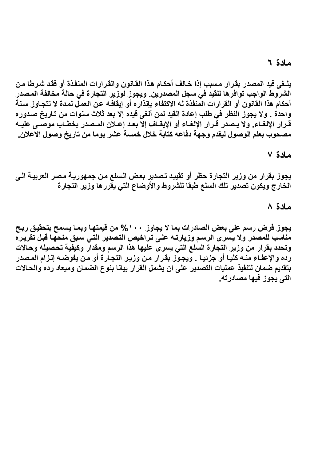#### مادة ٦

يلـغي قيد المصدر بقرار مسبب إذا خـالف أحكـام هذا القـانون والقرارات المنفذة أو فقد شـرطا مـن الشروط الواجب توافرها للقيد في سجل المصدرين. ويجوز لوزير التجارة في حالة مخالفة المصدر أحكام هذا القانون أو القرارات المنفذة له الاكتفاء بإنذاره أو إيقافـه عن العمـل لمـدة لا تتجـاوز سـنـة واحدة . ولا يجوز النظر في طلب إعادة القيد لمن ألغي قيده إلا بعد ثلاث سنوات من تـاريخ صـدوره قرار الإلغاء. ولا يصدر قرار الإلغاء أو الإيقاف إلا بعد إعلان المصدر بخطـاب موصـى عليـه مصحوب بعلم الوصول ليقدم وجهة دفاعه كتابة خلال خمسة عشر يوما من تاريخ وصول الاعلان.

مادة ٧

يجوز بقرار من وزير التجارة حظر أو تقييد تصدير بعض السلع من جمهوريـة مصر العربيـة الـي الخارج ويكون تصدير تلك السلع طبقا للشروط والأوضاع التى يقررها وزير التجارة

مادة ٨

يجوز فرض رسم على بعض الصادرات بما لا يجاوز. ١٠٠% من قيمتها وبمـا يسمح بتحقيق ربـح مناسب للمصدر ولا يسرى الرسم وزيارته على تراخيص التصدير التى سبق منحها قبل تقريره وتحدد بقرار من وزير التجارة السلع التي يسرى عليها هذا الرسم ومقدار وكيفية تحصيله وحالات رده والإعفاء منــه كليـا أو جزئيـا . ويجـوز بقرار مـن وزيـر التجـارة أو مـن يفوضـه إلـزام المـصدر بتقديم ضمان لتنفيذ عمليات التصدير على ان يشمل القرار بيانا بنوع الضمان وميعاد رده والحالات التي يجوز فيها مصادرته.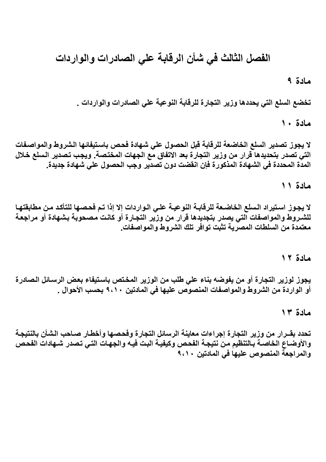# الفصل الثالث في شأن الرقابة علي الصادرات والواردات

مادة ۹

تخضع السلع التي يحددها وزير التجارة للرقابة النوعية علي الصادرات والواردات .

مادة ١٠

لا يجوز تصدير السلع الخاضعة للرقابة قبل الحصول على شهادة فحص باستيفائها الشروط والمواصفات التي تصدر بتحديدها قرار من وزير التجارة بعد الاتفاق مع الجهات المختصة. ويجب تصدير السلع خلال المدة المحددة في الشهادة المذكورة فإن انقضت دون تصدير وجب الحصول على شهادة جديدة.

مادة ١١

لا يجوز استيراد السلع الخاضعة للرقابـة النوعيـة علـى الـواردات إلا إذا تـم فحصـها للتأكد مـن مطابقتهـا للشـروط والمواصفات التى يصدر بتجديدها قرار من وزير التجارة أو كانت مصحوبة بشهادة أو مراجعة معتمدة من السلطات المصرية تثبت توافر تلك الشروط والمواصفات.

### مادة ١٢

يجوز لوزير التجارة أو من يفوضه بناء على طلب من الوزير المختص باستيفاء بعض الرسائل الصادرة أو الواردة من الشروط والمواصفات المنصوص عليها في المادتين ٩،١٠ بحسب الأحوال .

مادة ١٣

تحدد بقــرار من وزير التجارة إجراءات معاينة الرسائل التجارة وفحصها وأخطـار صـاحب الشأن بالنتيجـة والأوضـاع الخاصـة بـالتنظيم مـن نتيجـة الفحص وكيفيـة البت فيـه والجهـات التـى تصدر شـهادات الفحص والمراجعة المنصوص عليها في المادتين ٩،١٠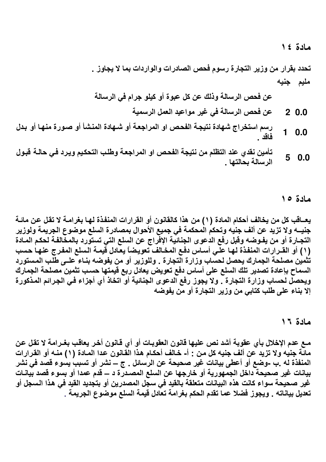مادة ١٤

تحدد بقرار من وزير التجارة رسوم فحص الصادرات والواردات بما لا يجاوز . مليم جنيه

عن فحص الرسالة وذلك عن كل عبوة أو كيلو جرام في الرسالة

- عن فحص الرسالة في غير مواعيد العمل الرسمية  $20.0$
- رسم استخراج شهادة نتيجة الفحص او المراجعة أو شـهادة المنشأ أو صـورة منـهـا أو بـدل  $1\quad 0.0$ <u>فاقد</u> .
- تأمين نقدى عند التظلم من نتيجة الفحص او المراجعة وطلب التحكيم ويرد فى حالـة قبـول  $50.0$ الرسالة بحالتها .

مادة ١٥

يعــاقب كل من يخالف أحكام المـادة (١) من هذا كالقانون أو القرارات المنفذة لـهـا بـغرامــة لا تقل عن مـائــة جنيـــه ولا تزيد عن ألف جنيه وتحكم المحكمة في جميع الأحوال بمصـادرة السلع موضوع الجريمة ولوزير التجـارة أو من يفـوضـه وقبل رفع الدعوى الجنائية الإفراج عن السلع التي تستورد بالمخالفـة لحكم المـادة (١) أو القــرارات المنفذة لـهـا علـي أســاس دفـع المخـالف تـعويـضـاً يعـادل قيمـة الـسلع المفـرج عنـهـا حسب تثمين مصلحة الجمارك يحصل لحساب وزارة التجارة . وللوزير أو من يفوضه بنـاء علـى طلب المستورد السماح بإعادة تصدير تلك السلع على أساس دفع تعويض يعادل ربع قيمتها حسب تثمين مصلحة الجمارك ويحصل لحساب وزارة التجارة . ولا يجوز رفع الدعوى الجنائية أو اتخاذ أي أجزاء في الجرائم المذكورة إلا بناء على طلب كتابي من وزير التجارة أو من يفوضه

مادة ١٦

مـع عدم الإخلال بأي عقوبة أشد نص عليها قانون العقوبـات أو أي قـانون أخر يعاقب بغـرامـة لا تقل عن مانَّة جنيه ولا تزيد عن ألف جنيه كل من : أ- خالف أحكـام هذا القانون عدا المـادة (١) منـه أو القرارات المنفذة له .ب ـوضع أو أعطى بيانات غير صحيحة عن الرسائل . ج ــ نشر أو تسببٍ يسوع قصد في نشر بيانات غير صحيحة داخل الجمهورية أو خارجها عن السلع المصدرة د ـــ قدم عمدا أو بسوع قصد بيانـات غير صحيحة سواء كانت هذه البيانات متعلقة بالقيد في سجل المصدرين أو بتجديد القيد في هذا السجل أو تعديل بياناته . ويجوز فضلا عما تقدم الحكم بغرامة تعادل قيمة السلع موضوع الجريمة .